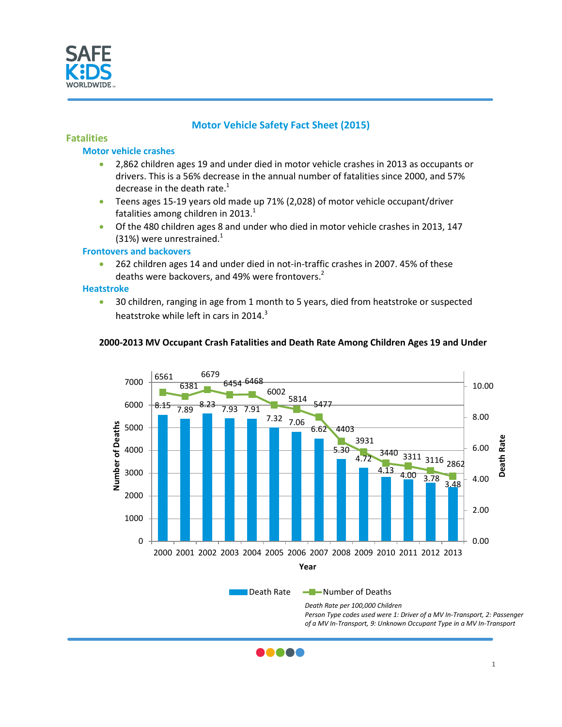

# **Motor Vehicle Safety Fact Sheet (2015)**

## **Fatalities**

#### **Motor vehicle crashes**

- 2,862 children ages 19 and under died in motor vehicle crashes in 2013 as occupants or drivers. This is a 56% decrease in the annual number of fatalities since 2000, and 57% decrease in the death rate.<sup>1</sup>
- Teens ages 15-19 years old made up 71% (2,028) of motor vehicle occupant/driver fatalities among children in 2013. $^{1}$
- Of the 480 children ages 8 and under who died in motor vehicle crashes in 2013, 147 (31%) were unrestrained. $1$

#### **Frontovers and backovers**

• 262 children ages 14 and under died in not-in-traffic crashes in 2007. 45% of these deaths were backovers, and 49% were frontovers.<sup>2</sup>

#### **Heatstroke**

• 30 children, ranging in age from 1 month to 5 years, died from heatstroke or suspected heatstroke while left in cars in 2014.<sup>3</sup>



### **2000-2013 MV Occupant Crash Fatalities and Death Rate Among Children Ages 19 and Under**

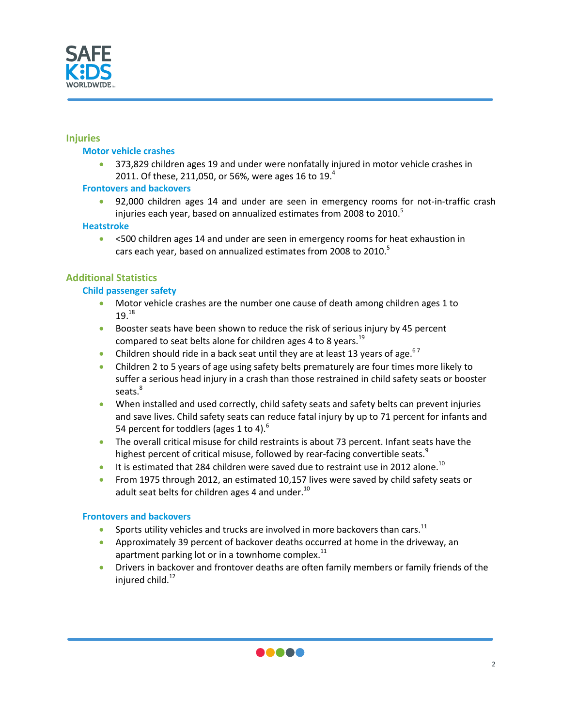

### **Injuries**

#### **Motor vehicle crashes**

• 373,829 children ages 19 and under were nonfatally injured in motor vehicle crashes in 2011. Of these, 211,050, or 56%, were ages 16 to 19. $^{4}$ 

### **Frontovers and backovers**

• 92,000 children ages 14 and under are seen in emergency rooms for not-in-traffic crash injuries each year, based on annualized estimates from 2008 to 2010.<sup>5</sup>

### **Heatstroke**

• <500 children ages 14 and under are seen in emergency rooms for heat exhaustion in cars each year, based on annualized estimates from 2008 to 2010.<sup>5</sup>

## **Additional Statistics**

## **Child passenger safety**

- Motor vehicle crashes are the number one cause of death among children ages 1 to  $19.18$
- Booster seats have been shown to reduce the risk of serious injury by 45 percent compared to seat belts alone for children ages 4 to 8 years.<sup>19</sup>
- Children should ride in a back seat until they are at least 13 years of age.  $67$
- Children 2 to 5 years of age using safety belts prematurely are four times more likely to suffer a serious head injury in a crash than those restrained in child safety seats or booster seats.<sup>8</sup>
- When installed and used correctly, child safety seats and safety belts can prevent injuries and save lives. Child safety seats can reduce fatal injury by up to 71 percent for infants and 54 percent for toddlers (ages 1 to 4).<sup>6</sup>
- The overall critical misuse for child restraints is about 73 percent. Infant seats have the highest percent of critical misuse, followed by rear-facing convertible seats.<sup>9</sup>
- It is estimated that 284 children were saved due to restraint use in 2012 alone.<sup>10</sup>
- From 1975 through 2012, an estimated 10,157 lives were saved by child safety seats or adult seat belts for children ages 4 and under. $^{10}$

#### **Frontovers and backovers**

- Sports utility vehicles and trucks are involved in more backovers than cars.<sup>11</sup>
- Approximately 39 percent of backover deaths occurred at home in the driveway, an apartment parking lot or in a townhome complex. $^{11}$
- Drivers in backover and frontover deaths are often family members or family friends of the injured child. 12

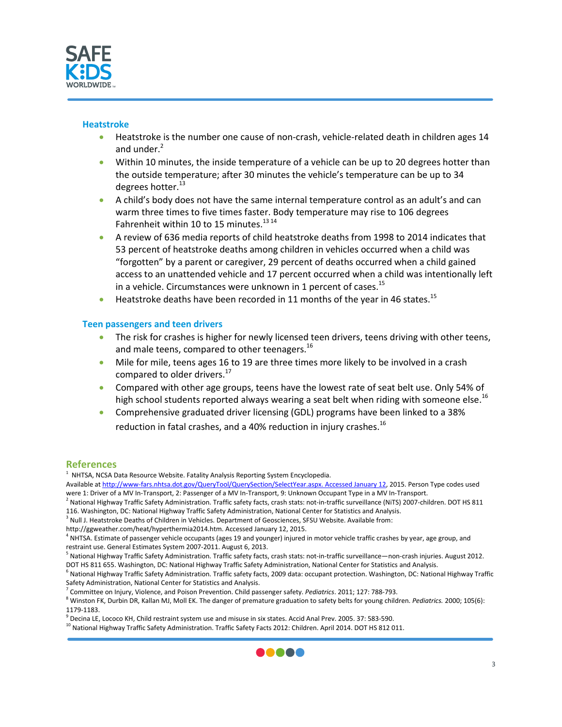

#### **Heatstroke**

- Heatstroke is the number one cause of non-crash, vehicle-related death in children ages 14 and under.<sup>2</sup>
- Within 10 minutes, the inside temperature of a vehicle can be up to 20 degrees hotter than the outside temperature; after 30 minutes the vehicle's temperature can be up to 34 degrees hotter.<sup>13</sup>
- A child's body does not have the same internal temperature control as an adult's and can warm three times to five times faster. Body temperature may rise to 106 degrees Fahrenheit within 10 to 15 minutes.<sup>13 14</sup>
- A review of 636 media reports of child heatstroke deaths from 1998 to 2014 indicates that 53 percent of heatstroke deaths among children in vehicles occurred when a child was "forgotten" by a parent or caregiver, 29 percent of deaths occurred when a child gained access to an unattended vehicle and 17 percent occurred when a child was intentionally left in a vehicle. Circumstances were unknown in 1 percent of cases.<sup>15</sup>
- Heatstroke deaths have been recorded in 11 months of the year in 46 states.<sup>15</sup>

#### **Teen passengers and teen drivers**

- The risk for crashes is higher for newly licensed teen drivers, teens driving with other teens, and male teens, compared to other teenagers.<sup>16</sup>
- Mile for mile, teens ages 16 to 19 are three times more likely to be involved in a crash compared to older drivers.<sup>17</sup>
- Compared with other age groups, teens have the lowest rate of seat belt use. Only 54% of high school students reported always wearing a seat belt when riding with someone else.<sup>16</sup>
- Comprehensive graduated driver licensing (GDL) programs have been linked to a 38% reduction in fatal crashes, and a 40% reduction in injury crashes.<sup>16</sup>

## **References**

 $1$  NHTSA, NCSA Data Resource Website. Fatality Analysis Reporting System Encyclopedia.

- 116. Washington, DC: National Highway Traffic Safety Administration, National Center for Statistics and Analysis.
- <sup>3</sup> Null J. Heatstroke Deaths of Children in Vehicles. Department of Geosciences, SFSU Website. Available from:
- http://ggweather.com/heat/hyperthermia2014.htm. Accessed January 12, 2015.



Available a[t http://www-fars.nhtsa.dot.gov/QueryTool/QuerySection/SelectYear.aspx. Accessed January 12,](http://www-fars.nhtsa.dot.gov/QueryTool/QuerySection/SelectYear.aspx.%20Accessed%20January%2012) 2015. Person Type codes used were 1: Driver of a MV In-Transport, 2: Passenger of a MV In-Transport, 9: Unknown Occupant Type in a MV In-Transport.<br><sup>2</sup> National Highway Traffic Safety Administration. Traffic safety facts, crash stats: not-in-traffic s

<sup>&</sup>lt;sup>4</sup> NHTSA. Estimate of passenger vehicle occupants (ages 19 and younger) injured in motor vehicle traffic crashes by year, age group, and

restraint use. General Estimates System 2007-2011. August 6, 2013.<br><sup>5</sup> National Highway Traffic Safety Administration. Traffic safety facts, crash stats: not-in-traffic surveillance—non-crash injuries. August 2012.

DOT HS 811 655. Washington, DC: National Highway Traffic Safety Administration, National Center for Statistics and Analysis.<br><sup>6</sup> National Highway Traffic Safety Administration. Traffic safety facts, 2009 data: occupant pro Safety Administration, National Center for Statistics and Analysis.

<sup>&</sup>lt;sup>7</sup> Committee on Injury, Violence, and Poison Prevention. Child passenger safety. *Pediatrics*. 2011; 127: 788-793.<br><sup>8</sup> Winston FK, Durbin DR, Kallan MJ, Moll EK. The danger of premature graduation to safety belts for youn

<sup>1179-1183.&</sup>lt;br><sup>9</sup> Decina LE, Lococo KH, Child restraint system use and misuse in six states. Accid Anal Prev. 2005. 37: 583-590.<br><sup>10</sup> National Highway Traffic Safety Administration. Traffic Safety Facts 2012: Children. April